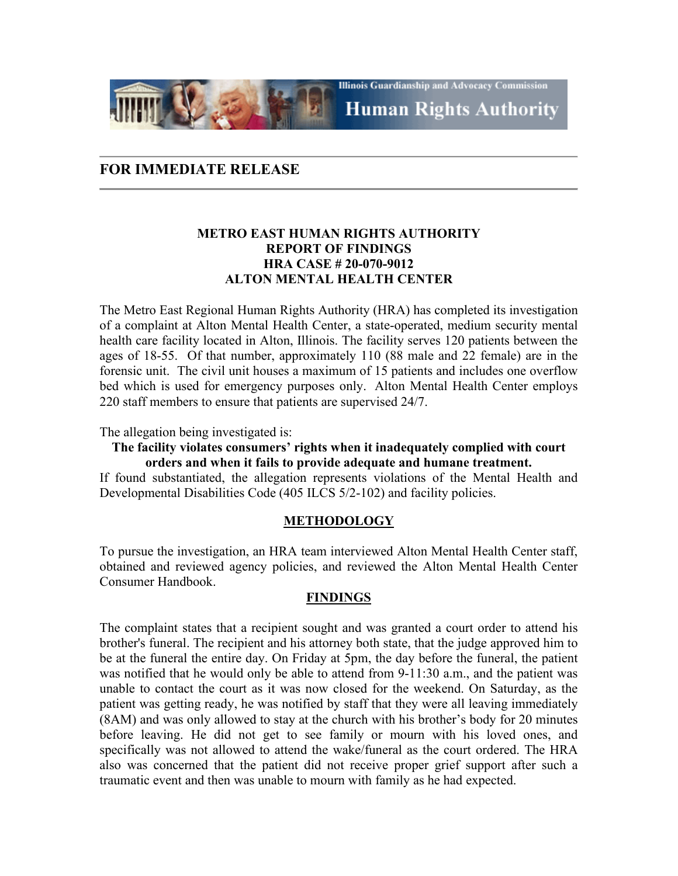**Illinois Guardianship and Advocacy Commission Human Rights Authority** 

# **FOR IMMEDIATE RELEASE**

# **METRO EAST HUMAN RIGHTS AUTHORITY REPORT OF FINDINGS HRA CASE # 20-070-9012 ALTON MENTAL HEALTH CENTER**

The Metro East Regional Human Rights Authority (HRA) has completed its investigation of a complaint at Alton Mental Health Center, a state-operated, medium security mental health care facility located in Alton, Illinois. The facility serves 120 patients between the ages of 18-55. Of that number, approximately 110 (88 male and 22 female) are in the forensic unit. The civil unit houses a maximum of 15 patients and includes one overflow bed which is used for emergency purposes only. Alton Mental Health Center employs 220 staff members to ensure that patients are supervised 24/7.

The allegation being investigated is:

## **The facility violates consumers' rights when it inadequately complied with court orders and when it fails to provide adequate and humane treatment.**

If found substantiated, the allegation represents violations of the Mental Health and Developmental Disabilities Code (405 ILCS 5/2-102) and facility policies.

### **METHODOLOGY**

To pursue the investigation, an HRA team interviewed Alton Mental Health Center staff, obtained and reviewed agency policies, and reviewed the Alton Mental Health Center Consumer Handbook.

### **FINDINGS**

The complaint states that a recipient sought and was granted a court order to attend his brother's funeral. The recipient and his attorney both state, that the judge approved him to be at the funeral the entire day. On Friday at 5pm, the day before the funeral, the patient was notified that he would only be able to attend from 9-11:30 a.m., and the patient was unable to contact the court as it was now closed for the weekend. On Saturday, as the patient was getting ready, he was notified by staff that they were all leaving immediately (8AM) and was only allowed to stay at the church with his brother's body for 20 minutes before leaving. He did not get to see family or mourn with his loved ones, and specifically was not allowed to attend the wake/funeral as the court ordered. The HRA also was concerned that the patient did not receive proper grief support after such a traumatic event and then was unable to mourn with family as he had expected.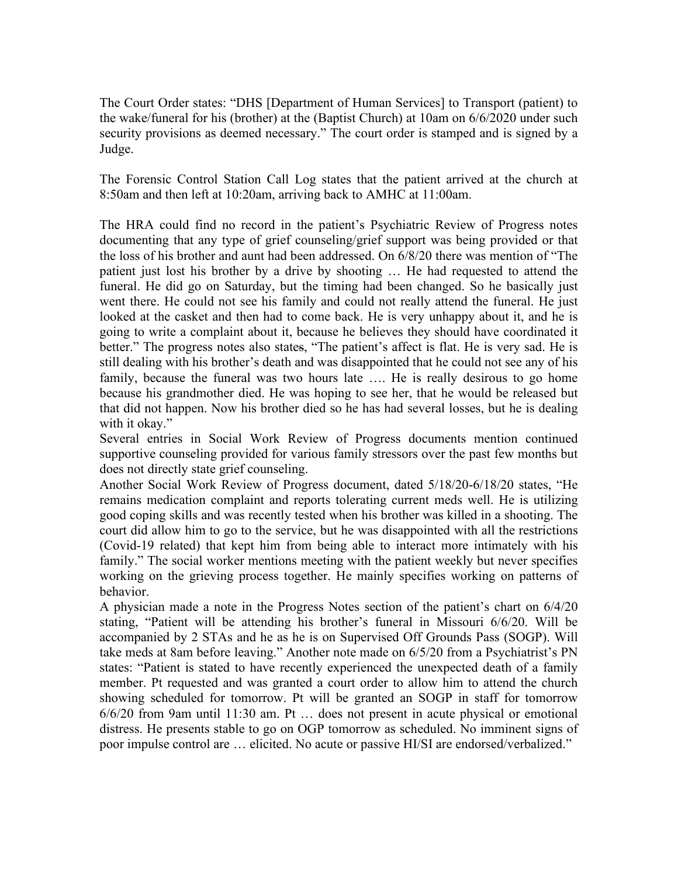The Court Order states: "DHS [Department of Human Services] to Transport (patient) to the wake/funeral for his (brother) at the (Baptist Church) at 10am on 6/6/2020 under such security provisions as deemed necessary." The court order is stamped and is signed by a Judge.

The Forensic Control Station Call Log states that the patient arrived at the church at 8:50am and then left at 10:20am, arriving back to AMHC at 11:00am.

The HRA could find no record in the patient's Psychiatric Review of Progress notes documenting that any type of grief counseling/grief support was being provided or that the loss of his brother and aunt had been addressed. On 6/8/20 there was mention of "The patient just lost his brother by a drive by shooting … He had requested to attend the funeral. He did go on Saturday, but the timing had been changed. So he basically just went there. He could not see his family and could not really attend the funeral. He just looked at the casket and then had to come back. He is very unhappy about it, and he is going to write a complaint about it, because he believes they should have coordinated it better." The progress notes also states, "The patient's affect is flat. He is very sad. He is still dealing with his brother's death and was disappointed that he could not see any of his family, because the funeral was two hours late …. He is really desirous to go home because his grandmother died. He was hoping to see her, that he would be released but that did not happen. Now his brother died so he has had several losses, but he is dealing with it okay."

Several entries in Social Work Review of Progress documents mention continued supportive counseling provided for various family stressors over the past few months but does not directly state grief counseling.

Another Social Work Review of Progress document, dated 5/18/20-6/18/20 states, "He remains medication complaint and reports tolerating current meds well. He is utilizing good coping skills and was recently tested when his brother was killed in a shooting. The court did allow him to go to the service, but he was disappointed with all the restrictions (Covid-19 related) that kept him from being able to interact more intimately with his family." The social worker mentions meeting with the patient weekly but never specifies working on the grieving process together. He mainly specifies working on patterns of behavior.

A physician made a note in the Progress Notes section of the patient's chart on 6/4/20 stating, "Patient will be attending his brother's funeral in Missouri 6/6/20. Will be accompanied by 2 STAs and he as he is on Supervised Off Grounds Pass (SOGP). Will take meds at 8am before leaving." Another note made on 6/5/20 from a Psychiatrist's PN states: "Patient is stated to have recently experienced the unexpected death of a family member. Pt requested and was granted a court order to allow him to attend the church showing scheduled for tomorrow. Pt will be granted an SOGP in staff for tomorrow 6/6/20 from 9am until 11:30 am. Pt … does not present in acute physical or emotional distress. He presents stable to go on OGP tomorrow as scheduled. No imminent signs of poor impulse control are … elicited. No acute or passive HI/SI are endorsed/verbalized."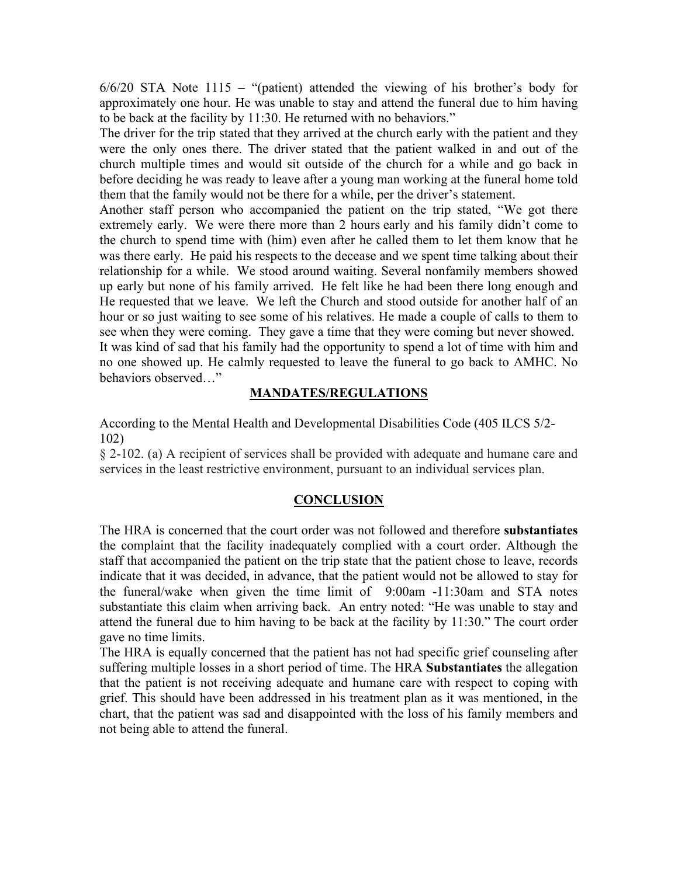6/6/20 STA Note 1115 – "(patient) attended the viewing of his brother's body for approximately one hour. He was unable to stay and attend the funeral due to him having to be back at the facility by 11:30. He returned with no behaviors."

The driver for the trip stated that they arrived at the church early with the patient and they were the only ones there. The driver stated that the patient walked in and out of the church multiple times and would sit outside of the church for a while and go back in before deciding he was ready to leave after a young man working at the funeral home told them that the family would not be there for a while, per the driver's statement.

Another staff person who accompanied the patient on the trip stated, "We got there extremely early. We were there more than 2 hours early and his family didn't come to the church to spend time with (him) even after he called them to let them know that he was there early. He paid his respects to the decease and we spent time talking about their relationship for a while. We stood around waiting. Several nonfamily members showed up early but none of his family arrived. He felt like he had been there long enough and He requested that we leave. We left the Church and stood outside for another half of an hour or so just waiting to see some of his relatives. He made a couple of calls to them to see when they were coming. They gave a time that they were coming but never showed. It was kind of sad that his family had the opportunity to spend a lot of time with him and no one showed up. He calmly requested to leave the funeral to go back to AMHC. No behaviors observed…"

#### **MANDATES/REGULATIONS**

According to the Mental Health and Developmental Disabilities Code (405 ILCS 5/2- 102)

§ 2-102. (a) A recipient of services shall be provided with adequate and humane care and services in the least restrictive environment, pursuant to an individual services plan.

#### **CONCLUSION**

The HRA is concerned that the court order was not followed and therefore **substantiates** the complaint that the facility inadequately complied with a court order. Although the staff that accompanied the patient on the trip state that the patient chose to leave, records indicate that it was decided, in advance, that the patient would not be allowed to stay for the funeral/wake when given the time limit of 9:00am -11:30am and STA notes substantiate this claim when arriving back. An entry noted: "He was unable to stay and attend the funeral due to him having to be back at the facility by 11:30." The court order gave no time limits.

The HRA is equally concerned that the patient has not had specific grief counseling after suffering multiple losses in a short period of time. The HRA **Substantiates** the allegation that the patient is not receiving adequate and humane care with respect to coping with grief. This should have been addressed in his treatment plan as it was mentioned, in the chart, that the patient was sad and disappointed with the loss of his family members and not being able to attend the funeral.